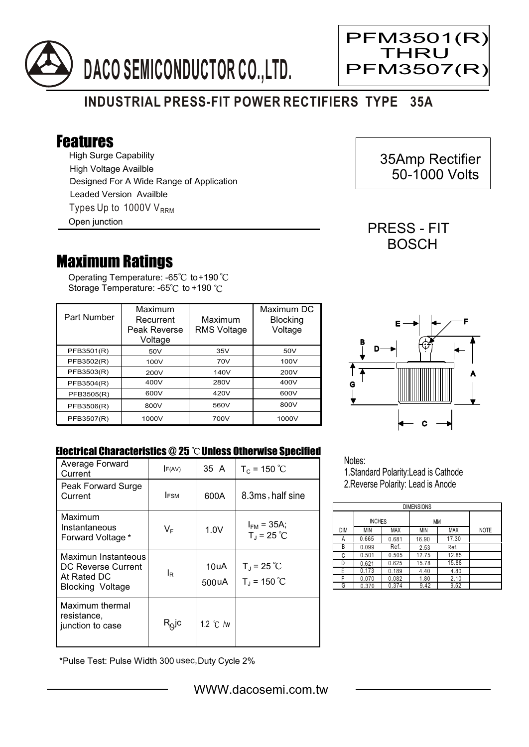



Ξ

## **INDUSTRIAL PRESS-FIT POWER RECTIFIERS TYPE 35A**

## Features

High Surge Capability Types Up to 1000V  $V_{\text{RRM}}$ High Voltage Availble Designed For A Wide Range of Application Leaded Version Availble Open junction

## Maximum Ratings

Operating Temperature: -65 $^{\circ}\textrm{C}$  to+190 Storage Temperature: -65°C to +190 °C

| Part Number | Maximum<br>Recurrent<br>Peak Reverse<br>Voltage | Maximum<br><b>RMS Voltage</b> | Maximum DC<br><b>Blocking</b><br>Voltage |
|-------------|-------------------------------------------------|-------------------------------|------------------------------------------|
| PFB3501(R)  | 50V                                             | 35V                           | 50V                                      |
| PFB3502(R)  | 100V                                            | 70V                           | 100V                                     |
| PFB3503(R)  | 200V                                            | 140V                          | 200V                                     |
| PFB3504(R)  | 400V                                            | 280V                          | 400V                                     |
| PFB3505(R)  | 600V                                            | 420V                          | 600V                                     |
| PFB3506(R)  | 800V                                            | 560V                          | 800V                                     |
| PFB3507(R)  | 1000V                                           | 700V                          | 1000V                                    |



## Electrical Characteristics  $@25$   $^{\circ}$ C Unless Otherwise Specified

| Average Forward<br>Current                                                          | F(AV)                                  | 35 A               | $T_c = 150 °C$                          |
|-------------------------------------------------------------------------------------|----------------------------------------|--------------------|-----------------------------------------|
| Peak Forward Surge<br>Current                                                       | <b>IFSM</b>                            | 600A               | 8.3ms, half sine                        |
| Maximum<br>Instantaneous<br>Forward Voltage *                                       | $V_F$                                  | 1.0V               | $I_{FM}$ = 35A;<br>$T_{J}$ = 25 °C      |
| Maximun Instanteous<br>DC Reverse Current<br>At Rated DC<br><b>Blocking Voltage</b> | l <sub>R</sub>                         | 10uA<br>500uA      | $T_{\rm J}$ = 25 °C<br>$T_{J}$ = 150 °C |
| Maximum thermal<br>resistance,<br>junction to case                                  | $\mathsf{R}_{\!\mathsf{Q}}\mathsf{jc}$ | 1.2 $\degree$ C /w |                                         |

\*Pulse Test: Pulse Width 300 usec,Duty Cycle 2%

Notes:

1.Standard Polarity:Lead is Cathode 2.Reverse Polarity: Lead is Anode

| <b>DIMENSIONS</b> |               |            |       |            |             |  |  |  |
|-------------------|---------------|------------|-------|------------|-------------|--|--|--|
|                   | <b>INCHES</b> |            | MM    |            |             |  |  |  |
| DIM               | ΜIΝ           | <b>MAX</b> | MIN   | <b>MAX</b> | <b>NOTE</b> |  |  |  |
| Α                 | 0.665         | 0.681      | 16.90 | 17.30      |             |  |  |  |
| В                 | 0.099         | Ref.       | 2.53  | Ref.       |             |  |  |  |
| C                 | 0.501         | 0.505      | 12.75 | 12.85      |             |  |  |  |
| D                 | 0.621         | 0.625      | 15.78 | 15.88      |             |  |  |  |
| F                 | 0.173         | 0.189      | 4.40  | 4.80       |             |  |  |  |
| F                 | 0.070         | 0.082      | 1.80  | 2.10       |             |  |  |  |
| G                 | 0.370         | 0.374      | 9.42  | 9.52       |             |  |  |  |

 35Amp Rectifier 50-1000 Volts

PRESS - FIT **BOSCH**